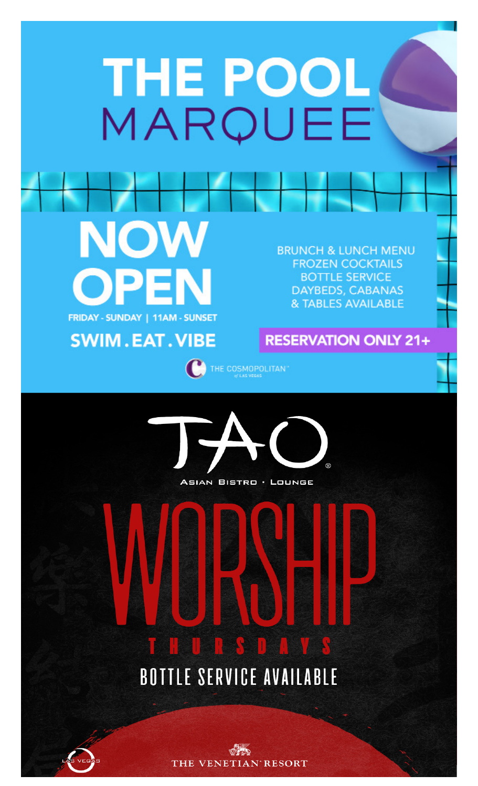### THE POOL MAROUEE

NOW FRIDAY - SUNDAY | 11AM - SUNSET

**SWIM.EAT.VIBE** 

**BRUNCH & LUNCH MENU FROZEN COCKTAILS BOTTLE SERVICE** DAYBEDS, CABANAS & TABLES AVAILABLE

#### **RESERVATION ONLY 21+**





### **BOTTLE SERVICE AVAILABLE**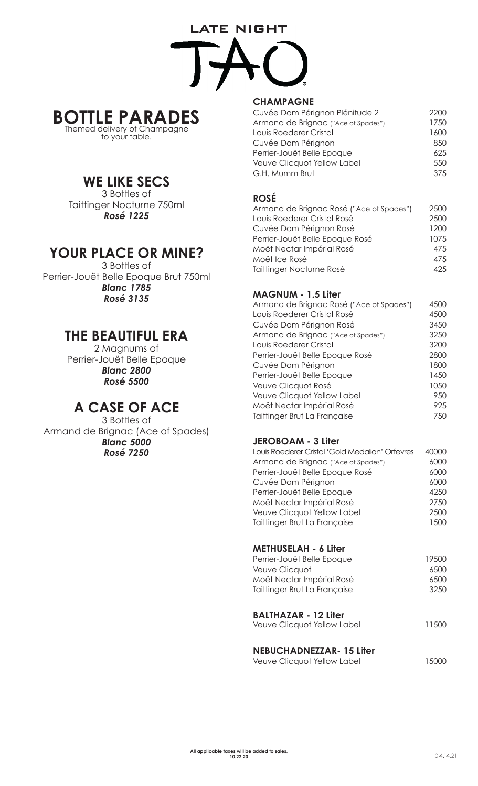# **LATE NIGHT**



to your table.

#### **WE LIKE SECS**

3 Bottles of Taittinger Nocturne 750ml *Rosé 1225*

#### **YOUR PLACE OR MINE?**

3 Bottles of Perrier-Jouët Belle Epoque Brut 750ml *Blanc 1785 Rosé 3135*

#### **THE BEAUTIFUL ERA**

2 Magnums of Perrier-Jouët Belle Epoque *Blanc 2800 Rosé 5500*

#### **A CASE OF ACE**

3 Bottles of Armand de Brignac (Ace of Spades) *Blanc 5000 Rosé 7250*

#### **CHAMPAGNE**

| Cuvée Dom Pérignon Plénitude 2      | 2200 |
|-------------------------------------|------|
| Armand de Brignac ("Ace of Spades") | 1750 |
| Louis Roederer Cristal              | 1600 |
| Cuvée Dom Pérignon                  | 850  |
| Perrier-Jouët Belle Epoque          | 625  |
| Veuve Clicquot Yellow Label         | 550  |
| G.H. Mumm Brut                      | 375  |

#### **ROSÉ**

| Armand de Brignac Rosé ("Ace of Spades") | 2500 |
|------------------------------------------|------|
| Louis Roederer Cristal Rosé              | 2500 |
| Cuvée Dom Pérignon Rosé                  | 1200 |
| Perrier-Jouët Belle Epoque Rosé          | 1075 |
| Moët Nectar Impérial Rosé                | 475  |
| Moët Ice Rosé                            | 475  |
| Taittinger Nocturne Rosé                 | 425. |

#### **MAGNUM - 1.5 Liter**

| Armand de Brignac Rosé ("Ace of Spades") | 4500 |
|------------------------------------------|------|
| Louis Roederer Cristal Rosé              | 4500 |
| Cuvée Dom Pérignon Rosé                  | 3450 |
| Armand de Brignac ("Ace of Spades")      | 3250 |
| Louis Roederer Cristal                   | 3200 |
| Perrier-Jouët Belle Epoque Rosé          | 2800 |
| Cuvée Dom Pérignon                       | 1800 |
| Perrier-Jouët Belle Epoque               | 1450 |
| Veuve Clicquot Rosé                      | 1050 |
| Veuve Clicquot Yellow Label              | 950  |
| Moët Nectar Impérial Rosé                | 925  |
| Taittinger Brut La Française             | 750  |

#### **JEROBOAM - 3 Liter**

| Louis Roederer Cristal 'Gold Medalion' Orfevres | 40000 |
|-------------------------------------------------|-------|
| Armand de Brignac ("Ace of Spades")             | 6000  |
| Perrier-Jouët Belle Epoque Rosé                 | 6000  |
| Cuvée Dom Pérignon                              | 6000  |
| Perrier-Jouët Belle Epoque                      | 4250  |
| Moët Nectar Impérial Rosé                       | 2750  |
| Veuve Clicquot Yellow Label                     | 2500  |
| Taittinger Brut La Française                    | 1500  |
| <b>METHUSELAH - 6 Liter</b>                     |       |
| Perrier-Jouët Belle Epoque                      | 19500 |
| Veuve Clicquot                                  | 6500  |
| Moët Nectar Impérial Rosé                       | 6500  |
| Taittinger Brut La Française                    | 3250  |

#### **BALTHAZAR - 12 Liter**

| Veuve Clicquot Yellow Label | 11500 |  |
|-----------------------------|-------|--|
|                             |       |  |

#### **NEBUCHADNEZZAR- 15 Liter**

| Veuve Clicquot Yellow Label | 15000 |
|-----------------------------|-------|
|                             |       |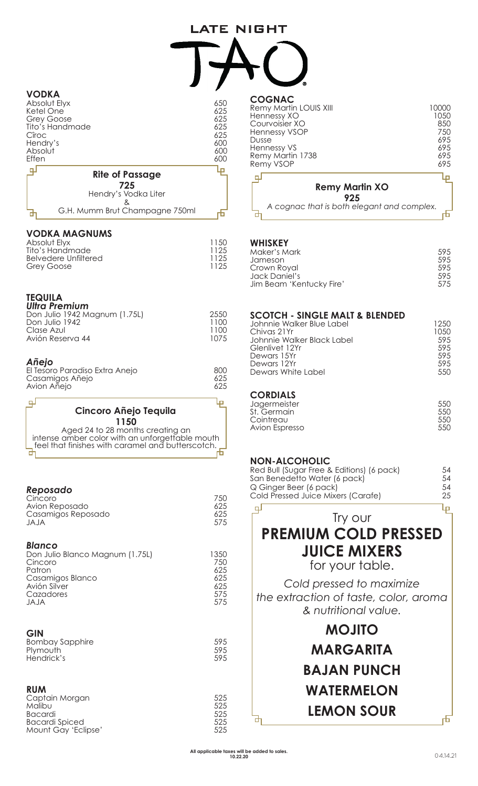#### **LATE NIGHT**

| <b>VODKA</b><br>Absolut Elyx<br>Ketel One<br><b>Grey Goose</b><br>Tito's Handmade<br>Cîroc<br>Hendry's<br>Absolut<br>Effen | 650<br>625<br>625<br>625<br>625<br>600<br>600<br>600 |
|----------------------------------------------------------------------------------------------------------------------------|------------------------------------------------------|
| <b>Rite of Passage</b>                                                                                                     |                                                      |
| 725<br>Hendry's Vodka Liter<br>ጼ<br>G.H. Mumm Brut Champagne 750ml                                                         |                                                      |

#### **VODKA MAGNUMS**

| Absolut Elyx         | 1150 |
|----------------------|------|
| Tito's Handmade      | 1125 |
| Belvedere Unfiltered | 1125 |
| Grey Goose           | 1125 |
|                      |      |

#### **TEQUILA**

| <b>Ultra Premium</b>          |      |
|-------------------------------|------|
| Don Julio 1942 Magnum (1.75L) | 2550 |
| Don Julio 1942                | 1100 |
| Clase Azul                    | 1100 |
| Avión Reserva 44              | 1075 |
|                               |      |
|                               |      |

#### *Añejo*

لو

| El Tesoro Paradiso Extra Anejo | 800 |
|--------------------------------|-----|
| Casamigos Añejo                | 625 |
| Avion Añejo                    | 625 |
|                                |     |

#### **Cincoro Añejo Tequila 1150**

Aged 24 to 28 months creating an intense amber color with an unforgettable mouth feel that finishes with caramel and butterscotch. 라

#### *Reposado*

| Cincoro            | 750 |
|--------------------|-----|
| Avion Reposado     | 625 |
| Casamigos Reposado | 625 |
| JAJA               | 575 |

#### *Blanco*

| Don Julio Blanco Magnum (1.75L) | 1350. |
|---------------------------------|-------|
| Cincoro                         | 750   |
| Patron                          | 625.  |
| Casamigos Blanco                | 625   |
| Avión Silver                    | 625.  |
| Cazadores                       | 575   |
| JAJA                            | 575   |

#### **GIN**

| ◡…              |     |
|-----------------|-----|
| Bombay Sapphire | 595 |
| Plymouth        | 595 |
| Hendrick's      | 595 |
|                 |     |

#### **RUM**

| Captain Morgan<br>Malibu                     | 525<br>525 |
|----------------------------------------------|------------|
| <b>Bacardi</b>                               | 525<br>525 |
| <b>Bacardi Spiced</b><br>Mount Gay 'Eclipse' | 525        |

| <b>COGNAC</b><br>Remy Martin LOUIS XIII<br>Hennessy XO<br>Courvoisier XO<br><b>Hennessy VSOP</b><br>Dusse<br><b>Hennessy VS</b><br>Remy Martin 1738<br>Remy VSOP |                              | 10000<br>1050<br>850<br>750<br>695<br>695<br>695<br>695 |
|------------------------------------------------------------------------------------------------------------------------------------------------------------------|------------------------------|---------------------------------------------------------|
|                                                                                                                                                                  | <b>Remy Martin XO</b><br>925 |                                                         |

**WHISKEY**

| <b>WHISRET</b>           |     |
|--------------------------|-----|
| Maker's Mark             | 595 |
| Jameson                  | 595 |
| Crown Royal              | 595 |
| Jack Daniel's            | 595 |
| Jim Beam 'Kentucky Fire' | 575 |

*A cognac that is both elegant and complex.*

市

| 1250  |
|-------|
| 10.50 |
| 59.5  |
| 595   |
| 595   |
| 595   |
| 550   |
|       |

#### **CORDIALS**

⅊

| Jagermeister   | 550 |
|----------------|-----|
| St. Germain.   | 550 |
| Cointreau      | 550 |
| Avion Espresso | 550 |
|                |     |

#### **NON-ALCOHOLIC**

| Red Bull (Sugar Free & Editions) (6 pack) | 54. |
|-------------------------------------------|-----|
| San Benedetto Water (6 pack)              | 54. |
| Q Ginger Beer (6 pack)                    | .54 |
| Cold Pressed Juice Mixers (Carafe)        | 25  |
|                                           |     |

#### ச Ļμ Try our **PREMIUM COLD PRESSED JUICE MIXERS**

for your table.

*Cold pressed to maximize the extraction of taste, color, aroma & nutritional value.*

> **MOJITO MARGARITA BAJAN PUNCH WATERMELON LEMON SOUR**

Б

市